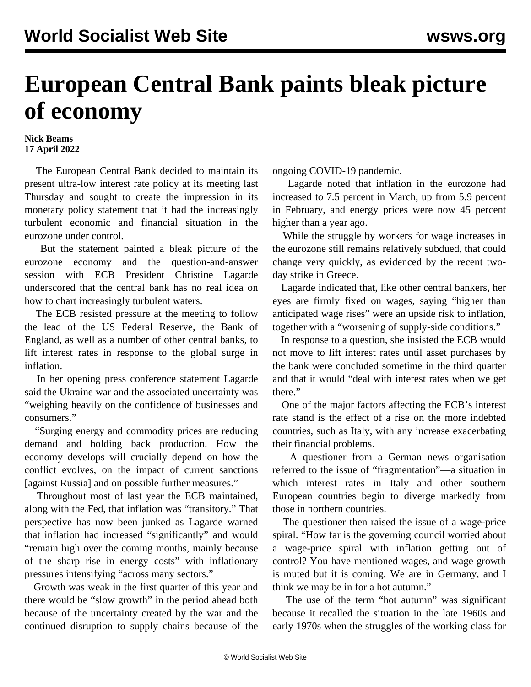## **European Central Bank paints bleak picture of economy**

## **Nick Beams 17 April 2022**

 The European Central Bank decided to maintain its present ultra-low interest rate policy at its meeting last Thursday and sought to create the impression in its monetary policy statement that it had the increasingly turbulent economic and financial situation in the eurozone under control.

 But the statement painted a bleak picture of the eurozone economy and the question-and-answer session with ECB President Christine Lagarde underscored that the central bank has no real idea on how to chart increasingly turbulent waters.

 The ECB resisted pressure at the meeting to follow the lead of the US Federal Reserve, the Bank of England, as well as a number of other central banks, to lift interest rates in response to the global surge in inflation.

 In her opening press conference statement Lagarde said the Ukraine war and the associated uncertainty was "weighing heavily on the confidence of businesses and consumers."

 "Surging energy and commodity prices are reducing demand and holding back production. How the economy develops will crucially depend on how the conflict evolves, on the impact of current sanctions [against Russia] and on possible further measures."

 Throughout most of last year the ECB maintained, along with the Fed, that inflation was "transitory." That perspective has now been junked as Lagarde warned that inflation had increased "significantly" and would "remain high over the coming months, mainly because of the sharp rise in energy costs" with inflationary pressures intensifying "across many sectors."

 Growth was weak in the first quarter of this year and there would be "slow growth" in the period ahead both because of the uncertainty created by the war and the continued disruption to supply chains because of the ongoing COVID-19 pandemic.

 Lagarde noted that inflation in the eurozone had increased to 7.5 percent in March, up from 5.9 percent in February, and energy prices were now 45 percent higher than a year ago.

 While the struggle by workers for wage increases in the eurozone still remains relatively subdued, that could change very quickly, as evidenced by the recent twoday strike in Greece.

 Lagarde indicated that, like other central bankers, her eyes are firmly fixed on wages, saying "higher than anticipated wage rises" were an upside risk to inflation, together with a "worsening of supply-side conditions."

 In response to a question, she insisted the ECB would not move to lift interest rates until asset purchases by the bank were concluded sometime in the third quarter and that it would "deal with interest rates when we get there."

 One of the major factors affecting the ECB's interest rate stand is the effect of a rise on the more indebted countries, such as Italy, with any increase exacerbating their financial problems.

 A questioner from a German news organisation referred to the issue of "fragmentation"—a situation in which interest rates in Italy and other southern European countries begin to diverge markedly from those in northern countries.

 The questioner then raised the issue of a wage-price spiral. "How far is the governing council worried about a wage-price spiral with inflation getting out of control? You have mentioned wages, and wage growth is muted but it is coming. We are in Germany, and I think we may be in for a hot autumn."

 The use of the term "hot autumn" was significant because it recalled the situation in the late 1960s and early 1970s when the struggles of the working class for